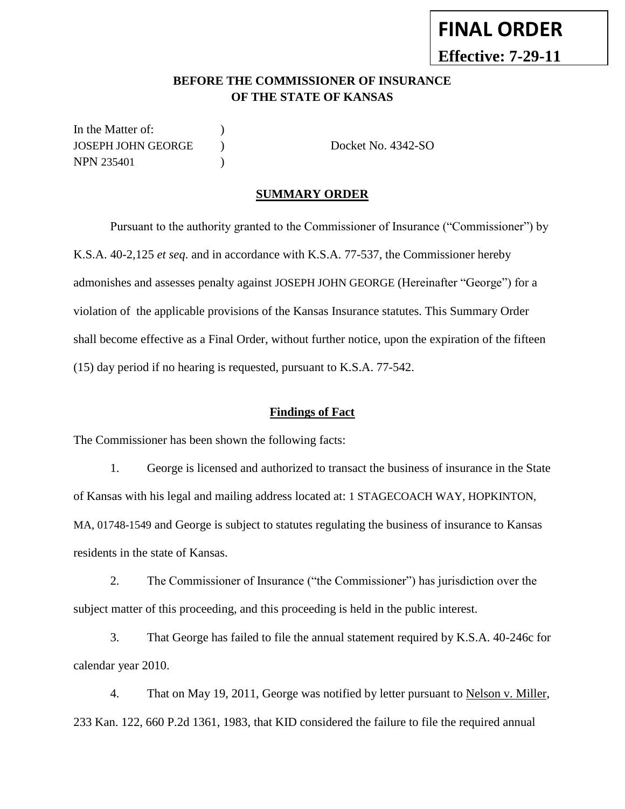## **BEFORE THE COMMISSIONER OF INSURANCE OF THE STATE OF KANSAS**

In the Matter of:  $\qquad \qquad$  ) JOSEPH JOHN GEORGE ) Docket No. 4342-SO NPN 235401 (1)

### **SUMMARY ORDER**

Pursuant to the authority granted to the Commissioner of Insurance ("Commissioner") by K.S.A. 40-2,125 *et seq*. and in accordance with K.S.A. 77-537, the Commissioner hereby admonishes and assesses penalty against JOSEPH JOHN GEORGE (Hereinafter "George") for a violation of the applicable provisions of the Kansas Insurance statutes. This Summary Order shall become effective as a Final Order, without further notice, upon the expiration of the fifteen (15) day period if no hearing is requested, pursuant to K.S.A. 77-542.

#### **Findings of Fact**

The Commissioner has been shown the following facts:

1. George is licensed and authorized to transact the business of insurance in the State of Kansas with his legal and mailing address located at: 1 STAGECOACH WAY, HOPKINTON, MA, 01748-1549 and George is subject to statutes regulating the business of insurance to Kansas residents in the state of Kansas.

2. The Commissioner of Insurance ("the Commissioner") has jurisdiction over the subject matter of this proceeding, and this proceeding is held in the public interest.

3. That George has failed to file the annual statement required by K.S.A. 40-246c for calendar year 2010.

4. That on May 19, 2011, George was notified by letter pursuant to Nelson v. Miller, 233 Kan. 122, 660 P.2d 1361, 1983, that KID considered the failure to file the required annual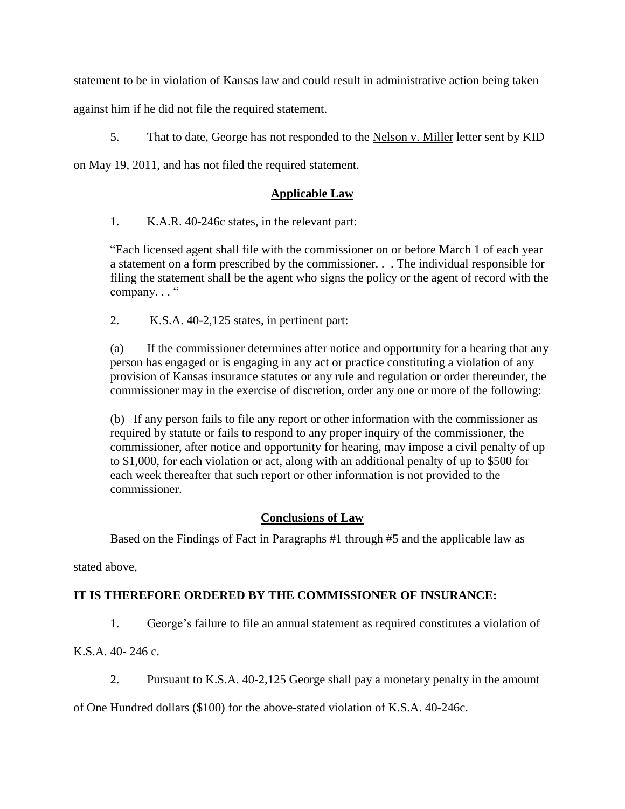statement to be in violation of Kansas law and could result in administrative action being taken

against him if he did not file the required statement.

5. That to date, George has not responded to the Nelson v. Miller letter sent by KID

on May 19, 2011, and has not filed the required statement.

## **Applicable Law**

1. K.A.R. 40-246c states, in the relevant part:

"Each licensed agent shall file with the commissioner on or before March 1 of each year a statement on a form prescribed by the commissioner. . . The individual responsible for filing the statement shall be the agent who signs the policy or the agent of record with the company..."

2. K.S.A. 40-2,125 states, in pertinent part:

(a) If the commissioner determines after notice and opportunity for a hearing that any person has engaged or is engaging in any act or practice constituting a violation of any provision of Kansas insurance statutes or any rule and regulation or order thereunder, the commissioner may in the exercise of discretion, order any one or more of the following:

(b) If any person fails to file any report or other information with the commissioner as required by statute or fails to respond to any proper inquiry of the commissioner, the commissioner, after notice and opportunity for hearing, may impose a civil penalty of up to \$1,000, for each violation or act, along with an additional penalty of up to \$500 for each week thereafter that such report or other information is not provided to the commissioner.

# **Conclusions of Law**

Based on the Findings of Fact in Paragraphs #1 through #5 and the applicable law as

stated above,

# **IT IS THEREFORE ORDERED BY THE COMMISSIONER OF INSURANCE:**

1. George's failure to file an annual statement as required constitutes a violation of

K.S.A. 40- 246 c.

2. Pursuant to K.S.A. 40-2,125 George shall pay a monetary penalty in the amount

of One Hundred dollars (\$100) for the above-stated violation of K.S.A. 40-246c.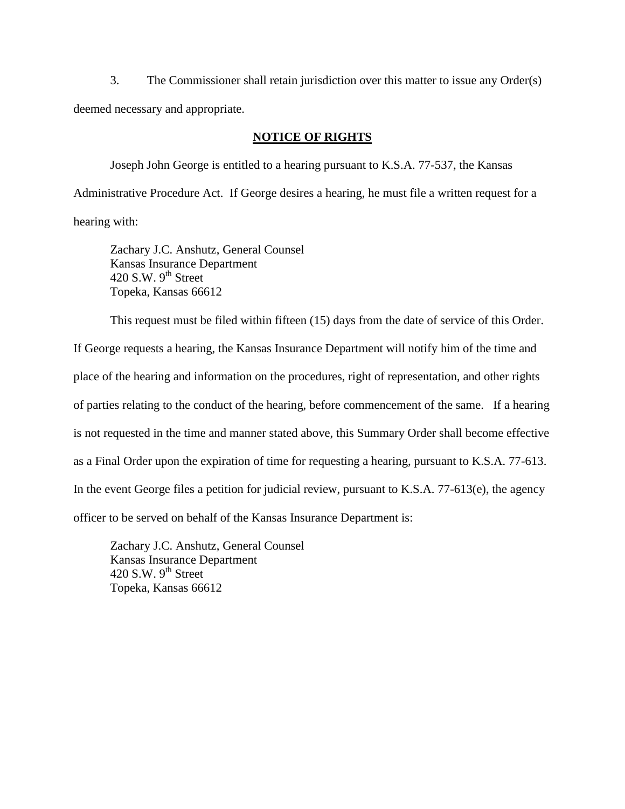3. The Commissioner shall retain jurisdiction over this matter to issue any Order(s) deemed necessary and appropriate.

#### **NOTICE OF RIGHTS**

Joseph John George is entitled to a hearing pursuant to K.S.A. 77-537, the Kansas Administrative Procedure Act. If George desires a hearing, he must file a written request for a hearing with:

Zachary J.C. Anshutz, General Counsel Kansas Insurance Department 420 S.W.  $9<sup>th</sup>$  Street Topeka, Kansas 66612

This request must be filed within fifteen (15) days from the date of service of this Order.

If George requests a hearing, the Kansas Insurance Department will notify him of the time and place of the hearing and information on the procedures, right of representation, and other rights of parties relating to the conduct of the hearing, before commencement of the same. If a hearing is not requested in the time and manner stated above, this Summary Order shall become effective as a Final Order upon the expiration of time for requesting a hearing, pursuant to K.S.A. 77-613. In the event George files a petition for judicial review, pursuant to K.S.A. 77-613(e), the agency officer to be served on behalf of the Kansas Insurance Department is:

Zachary J.C. Anshutz, General Counsel Kansas Insurance Department 420 S.W.  $9<sup>th</sup>$  Street Topeka, Kansas 66612